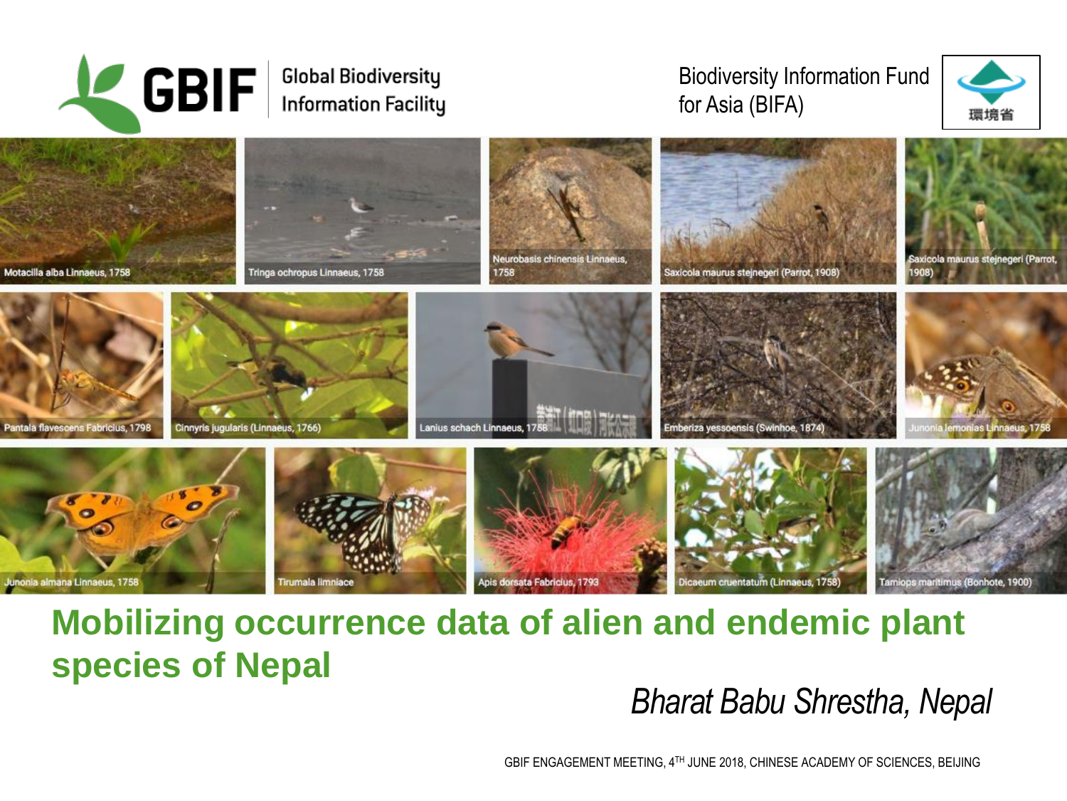

#### **Global Biodiversity Information Facility**

#### Biodiversity Information Fund for Asia (BIFA)





### **Mobilizing occurrence data of alien and endemic plant species of Nepal**

*Bharat Babu Shrestha, Nepal*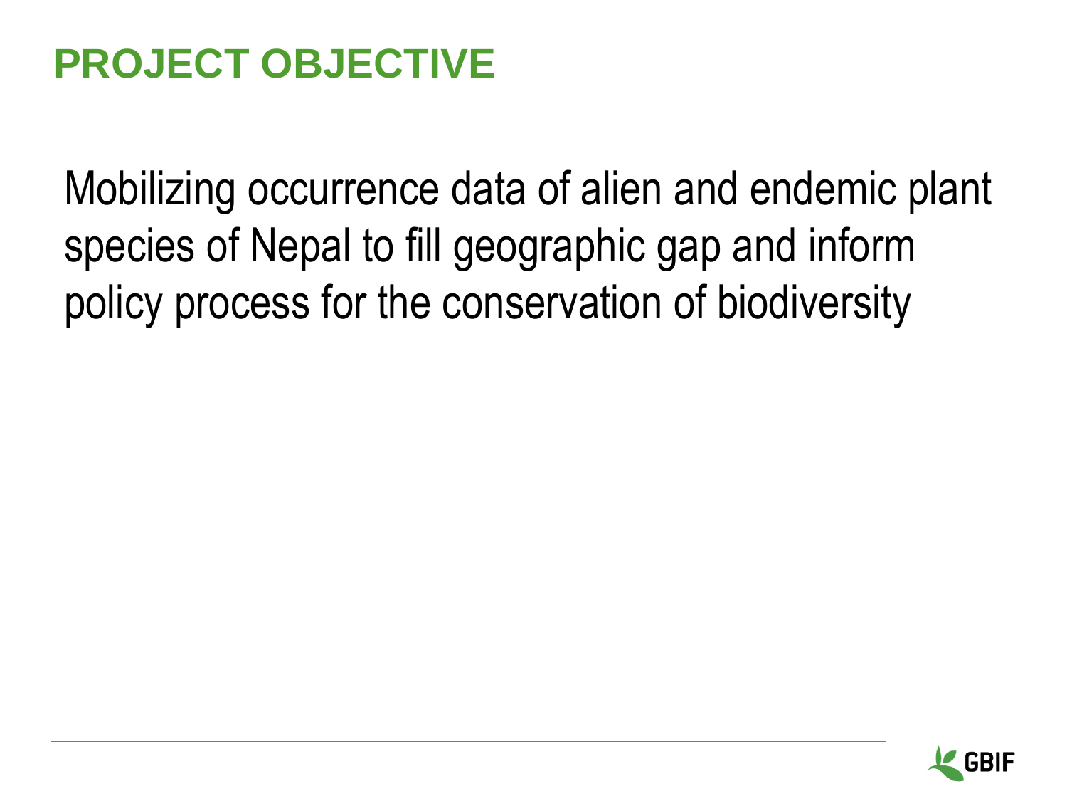## **PROJECT OBJECTIVE**

Mobilizing occurrence data of alien and endemic plant species of Nepal to fill geographic gap and inform policy process for the conservation of biodiversity

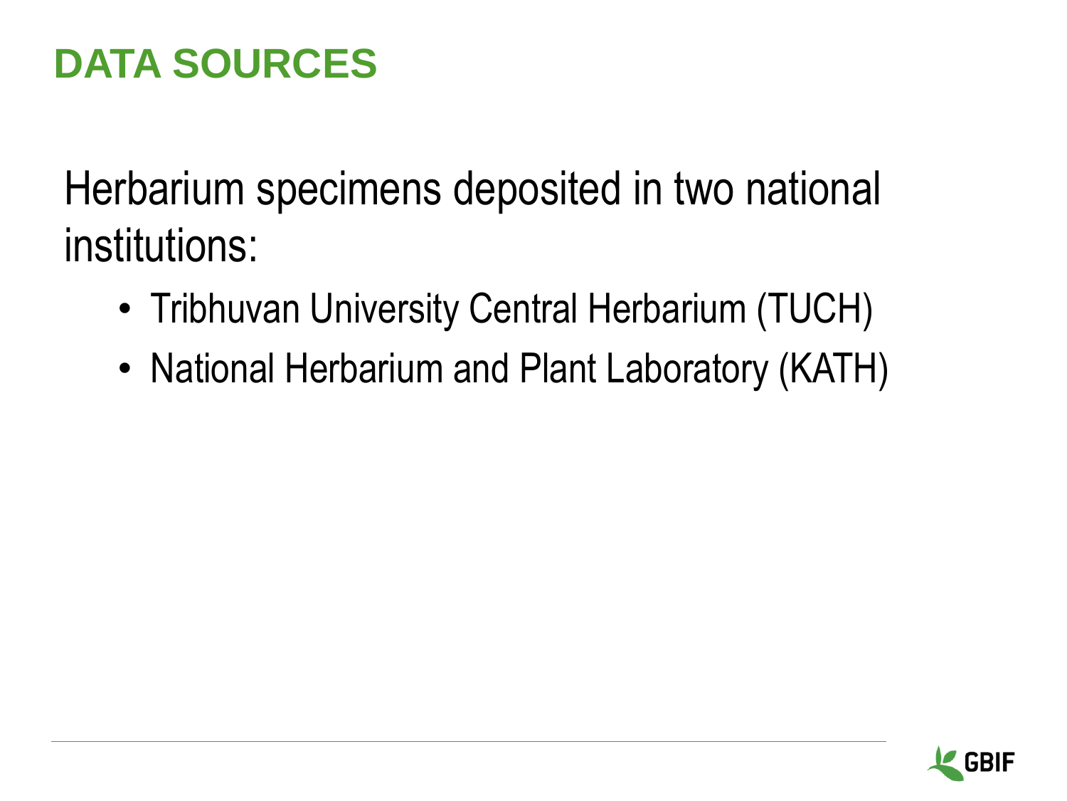### **DATA SOURCES**

Herbarium specimens deposited in two national institutions:

- Tribhuvan University Central Herbarium (TUCH)
- National Herbarium and Plant Laboratory (KATH)

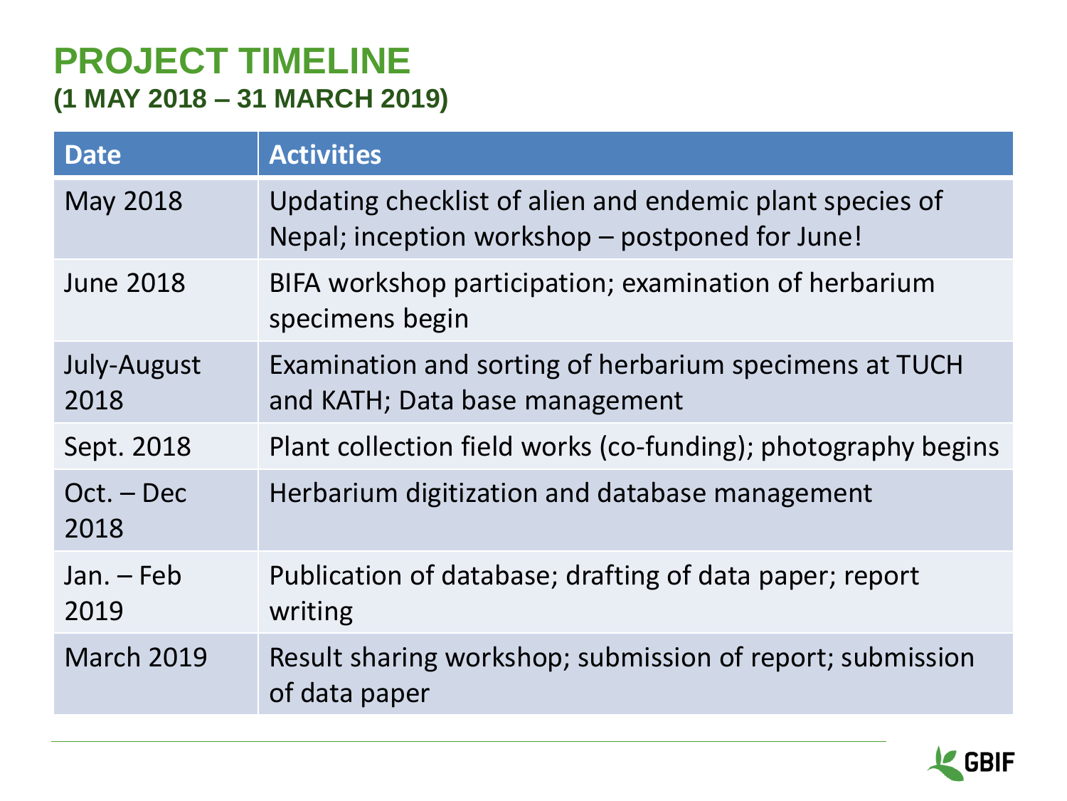#### **PROJECT TIMELINE (1 MAY 2018 – 31 MARCH 2019)**

| <b>Date</b>          | <b>Activities</b>                                                                                           |
|----------------------|-------------------------------------------------------------------------------------------------------------|
| May 2018             | Updating checklist of alien and endemic plant species of<br>Nepal; inception workshop – postponed for June! |
| <b>June 2018</b>     | BIFA workshop participation; examination of herbarium<br>specimens begin                                    |
| July-August<br>2018  | Examination and sorting of herbarium specimens at TUCH<br>and KATH; Data base management                    |
| Sept. 2018           | Plant collection field works (co-funding); photography begins                                               |
| $Oct. - Dec$<br>2018 | Herbarium digitization and database management                                                              |
| $Jan. - Feb$<br>2019 | Publication of database; drafting of data paper; report<br>writing                                          |
| <b>March 2019</b>    | Result sharing workshop; submission of report; submission<br>of data paper                                  |